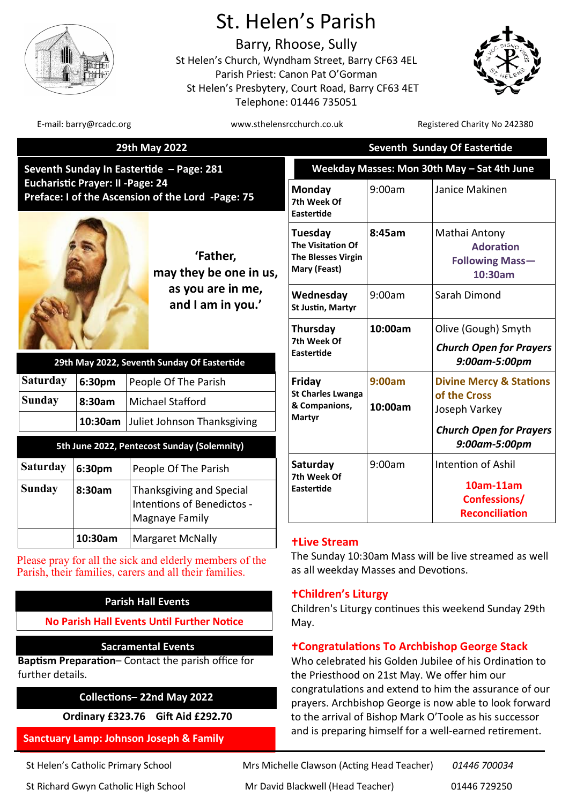

# St. Helen's Parish

Barry, Rhoose, Sully St Helen's Church, Wyndham Street, Barry CF63 4EL Parish Priest: Canon Pat O'Gorman St Helen's Presbytery, Court Road, Barry CF63 4ET Telephone: 01446 735051



| <b>9th May</b> | 2022 |  |
|----------------|------|--|
|                |      |  |
|                |      |  |

|                                                                                                                                | E-mail: barry@rcadc.org |                                                                                         | www.sthelensrcchurch.co.uk     |                                                                        |                                             | Registered Charity No 242380                                    |
|--------------------------------------------------------------------------------------------------------------------------------|-------------------------|-----------------------------------------------------------------------------------------|--------------------------------|------------------------------------------------------------------------|---------------------------------------------|-----------------------------------------------------------------|
| 29th May 2022                                                                                                                  |                         |                                                                                         |                                |                                                                        | Seventh Sunday Of Eastertide                |                                                                 |
| eventh Sunday In Eastertide - Page: 281<br>ucharistic Prayer: II -Page: 24<br>reface: I of the Ascension of the Lord -Page: 75 |                         |                                                                                         |                                |                                                                        | Weekday Masses: Mon 30th May - Sat 4th June |                                                                 |
|                                                                                                                                |                         | Monday<br>7th Week Of<br><b>Eastertide</b>                                              | 9:00am                         | Janice Makinen                                                         |                                             |                                                                 |
| 'Father,<br>may they be one in us,<br>as you are in me,<br>and I am in you.'<br>29th May 2022, Seventh Sunday Of Eastertide    |                         | <b>Tuesday</b><br><b>The Visitation Of</b><br><b>The Blesses Virgin</b><br>Mary (Feast) | 8:45am                         | Mathai Antony<br><b>Adoration</b><br><b>Following Mass-</b><br>10:30am |                                             |                                                                 |
|                                                                                                                                |                         |                                                                                         | Wednesday<br>St Justin, Martyr | 9:00am                                                                 | Sarah Dimond                                |                                                                 |
|                                                                                                                                |                         | Thursday<br>7th Week Of<br><b>Eastertide</b>                                            | 10:00am                        | Olive (Gough) Smyth<br><b>Church Open for Prayers</b><br>9:00am-5:00pm |                                             |                                                                 |
| aturday                                                                                                                        | 6:30pm                  | People Of The Parish                                                                    |                                | Friday                                                                 | 9:00am                                      | <b>Divine Mercy &amp; Stations</b>                              |
| ınday                                                                                                                          | 8:30am                  | <b>Michael Stafford</b><br>10:30am Juliet Johnson Thanksgiving                          |                                | <b>St Charles Lwanga</b><br>& Companions,<br>Martyr                    | 10:00am                                     | of the Cross<br>Joseph Varkey<br><b>Church Open for Prayers</b> |
|                                                                                                                                |                         | 5th June 2022, Pentecost Sunday (Solemnity)                                             |                                |                                                                        |                                             | 9:00am-5:00pm                                                   |
| ıturday                                                                                                                        | 6:30pm                  | People Of The Parish                                                                    |                                | Saturday<br>7th Week Of                                                | 9:00am                                      | Intention of Ashil                                              |
| ınday                                                                                                                          | 8:30am                  | Thanksgiving and Special<br>Intentions of Benedictos -<br>Magnaye Family                |                                | <b>Eastertide</b>                                                      |                                             | 10am-11am<br>Confessions/<br><b>Reconciliation</b>              |

# **Live Stream**

The Sunday 10:30am Mass will be live streamed as well as all weekday Masses and Devotions.

# **Children's Liturgy**

Children's Liturgy continues this weekend Sunday 29th May.

# **Congratulations To Archbishop George Stack**

Who celebrated his Golden Jubilee of his Ordination to the Priesthood on 21st May. We offer him our congratulations and extend to him the assurance of our prayers. Archbishop George is now able to look forward to the arrival of Bishop Mark O'Toole as his successor and is preparing himself for a well-earned retirement.

| 29th May 2022, Seventh Sunday Of Eastertide |        |                                     |
|---------------------------------------------|--------|-------------------------------------|
| <b>Saturday</b>                             | 6:30pm | People Of The Parish                |
| <b>Sunday</b>                               | 8:30am | Michael Stafford                    |
|                                             |        | 10:30am Juliet Johnson Thanksgiving |

| 5th June 2022, Pentecost Sunday (Solemnity) |         |                                                                          |
|---------------------------------------------|---------|--------------------------------------------------------------------------|
| <b>Saturday</b>                             | 6:30pm  | People Of The Parish                                                     |
| <b>Sunday</b>                               | 8:30am  | Thanksgiving and Special<br>Intentions of Benedictos -<br>Magnaye Family |
|                                             | 10:30am | <b>Margaret McNally</b>                                                  |

Please pray for all the sick and elderly members of the Parish, their families, carers and all their families.

# **Parish Hall Events**

**No Parish Hall Events Until Further Notice** 

# **Sacramental Events**

**Baptism Preparation**– Contact the parish office for further details.

# **Collections– 22nd May 2022**

**Ordinary £323.76 Gift Aid £292.70**

# **Sanctuary Lamp: Johnson Joseph & Family**

St Helen's Catholic Primary School Mrs Michelle Clawson (Acting Head Teacher) *01446 700034* St Richard Gwyn Catholic High School Mr David Blackwell (Head Teacher) 01446 729250